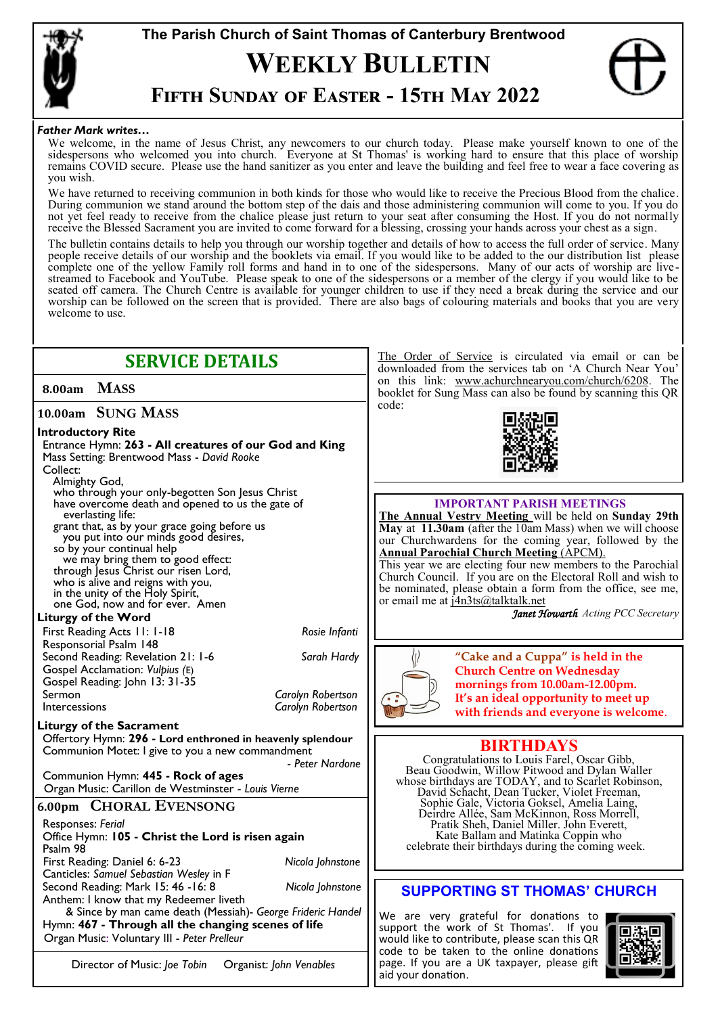

# **The Parish Church of Saint Thomas of Canterbury Brentwood WEEKLY BULLETIN**



## **Fifth Sunday of Easter - 15th May 2022**

#### *Father Mark writes…*

We welcome, in the name of Jesus Christ, any newcomers to our church today. Please make yourself known to one of the sidespersons who welcomed you into church. Everyone at St Thomas' is working hard to ensure that this place of worship remains COVID secure. Please use the hand sanitizer as you enter and leave the building and feel free to wear a face covering as you wish.

We have returned to receiving communion in both kinds for those who would like to receive the Precious Blood from the chalice. During communion we stand around the bottom step of the dais and those administering communion will come to you. If you do not yet feel ready to receive from the chalice please just return to your seat after consuming the Host. If you do not normally receive the Blessed Sacrament you are invited to come forward for a blessing, crossing your hands across your chest as a sign.

The bulletin contains details to help you through our worship together and details of how to access the full order of service. Many people receive details of our worship and the booklets via email. If you would like to be added to the our distribution list please complete one of the yellow Family roll forms and hand in to one of the sidespersons. Many of our acts of worship are livestreamed to Facebook and YouTube. Please speak to one of the sidespersons or a member of the clergy if you would like to be seated off camera. The Church Centre is available for younger children to use if they need a break during the service and our worship can be followed on the screen that is provided. There are also bags of colouring materials and books that you are very welcome to use.

| <b>SERVICE DETAILS</b>                                                                    | The Order of Service is circulated via email or can be<br>downloaded from the services tab on 'A Church Near You'    |  |
|-------------------------------------------------------------------------------------------|----------------------------------------------------------------------------------------------------------------------|--|
| <b>MASS</b><br>8.00am                                                                     | on this link: www.achurchnearyou.com/church/6208. The<br>booklet for Sung Mass can also be found by scanning this QR |  |
| 10.00am SUNG MASS                                                                         | code:                                                                                                                |  |
| <b>Introductory Rite</b>                                                                  |                                                                                                                      |  |
| Entrance Hymn: 263 - All creatures of our God and King                                    |                                                                                                                      |  |
| Mass Setting: Brentwood Mass - David Rooke                                                |                                                                                                                      |  |
| Collect:                                                                                  |                                                                                                                      |  |
| Almighty God,<br>who through your only-begotten Son Jesus Christ                          |                                                                                                                      |  |
| have overcome death and opened to us the gate of                                          | <b>IMPORTANT PARISH MEETINGS</b>                                                                                     |  |
| everlasting life:                                                                         | The Annual Vestry Meeting will be held on Sunday 29th                                                                |  |
| grant that, as by your grace going before us<br>you put into our minds good desires,      | May at 11.30am (after the 10am Mass) when we will choose                                                             |  |
| so by your continual help                                                                 | our Churchwardens for the coming year, followed by the<br><b>Annual Parochial Church Meeting (APCM).</b>             |  |
| we may bring them to good effect:                                                         | This year we are electing four new members to the Parochial                                                          |  |
| through Jesus Christ our risen Lord,<br>who is alive and reigns with you,                 | Church Council. If you are on the Electoral Roll and wish to                                                         |  |
| in the unity of the Holy Spirit,                                                          | be nominated, please obtain a form from the office, see me,                                                          |  |
| one God, now and for ever. Amen                                                           | or email me at j4n3ts@talktalk.net<br>Janet Howarth Acting PCC Secretary                                             |  |
| <b>Liturgy of the Word</b>                                                                |                                                                                                                      |  |
| First Reading Acts 11: 1-18<br>Rosie Infanti                                              |                                                                                                                      |  |
| Responsorial Psalm 148<br>Sarah Hardy                                                     | "Cake and a Cuppa" is held in the                                                                                    |  |
| Second Reading: Revelation 21: 1-6<br>Gospel Acclamation: Vulpius (E)                     | <b>Church Centre on Wednesday</b>                                                                                    |  |
| Gospel Reading: John 13: 31-35                                                            | mornings from 10.00am-12.00pm.                                                                                       |  |
| Sermon<br>Carolyn Robertson                                                               | It's an ideal opportunity to meet up                                                                                 |  |
| Carolyn Robertson<br>Intercessions                                                        | with friends and everyone is welcome.                                                                                |  |
| <b>Liturgy of the Sacrament</b>                                                           |                                                                                                                      |  |
| Offertory Hymn: 296 - Lord enthroned in heavenly splendour                                | <b>BIRTHDAYS</b>                                                                                                     |  |
| Communion Motet: I give to you a new commandment                                          | Congratulations to Louis Farel, Oscar Gibb,                                                                          |  |
| - Peter Nardone                                                                           | Beau Goodwin, Willow Pitwood and Dylan Waller                                                                        |  |
| Communion Hymn: 445 - Rock of ages<br>Organ Music: Carillon de Westminster - Louis Vierne | whose birthdays are TODAY, and to Scarlet Robinson,                                                                  |  |
|                                                                                           | David Schacht, Dean Tucker, Violet Freeman,<br>Sophie Gale, Victoria Goksel, Amelia Laing,                           |  |
| 6.00pm CHORAL EVENSONG                                                                    | Deirdre Allée, Sam McKinnon, Ross Morrell,                                                                           |  |
| Responses: Ferial                                                                         | Pratik Sheh, Daniel Miller. John Everett,                                                                            |  |
| Office Hymn: 105 - Christ the Lord is risen again<br>Psalm 98                             | Kate Ballam and Matinka Coppin who<br>celebrate their birthdays during the coming week.                              |  |
| First Reading: Daniel 6: 6-23<br>Nicola Johnstone                                         |                                                                                                                      |  |
| Canticles: Samuel Sebastian Wesley in F                                                   |                                                                                                                      |  |
| Nicola Johnstone<br>Second Reading: Mark 15: 46 - 16: 8                                   | <b>SUPPORTING ST THOMAS' CHURCH</b>                                                                                  |  |
| Anthem: I know that my Redeemer liveth                                                    |                                                                                                                      |  |
| & Since by man came death (Messiah)- George Frideric Handel                               | We are very grateful for donations to                                                                                |  |
| Hymn: 467 - Through all the changing scenes of life                                       | support the work of St Thomas'. If you                                                                               |  |
| Organ Music: Voluntary III - Peter Prelleur                                               | would like to contribute, please scan this QR<br>code to be taken to the online donations                            |  |
| Director of Music: Joe Tobin<br>Organist: John Venables                                   | page. If you are a UK taxpayer, please gift<br>aid your donation.                                                    |  |